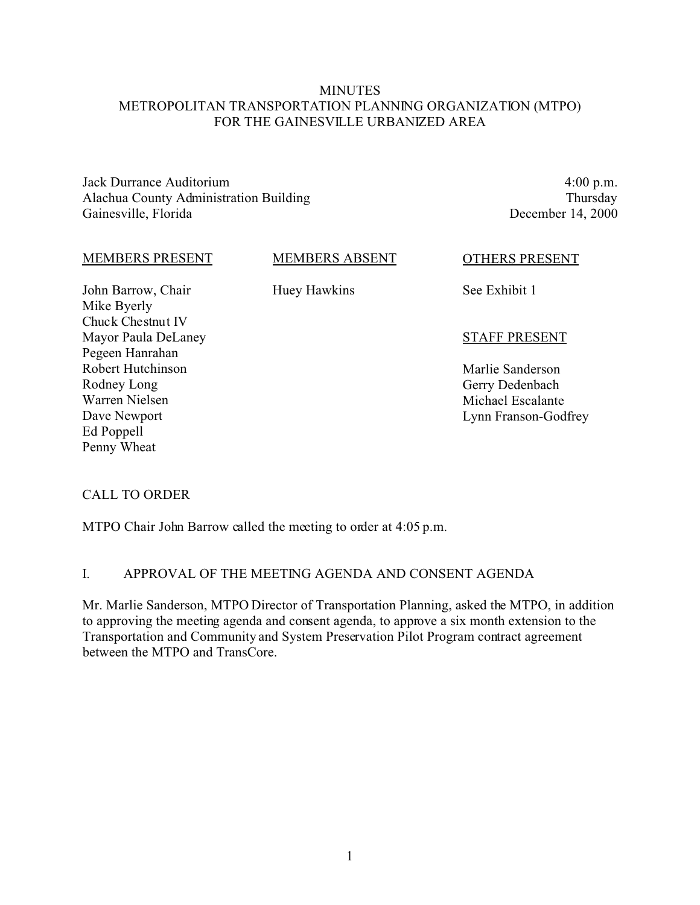# **MINUTES** METROPOLITAN TRANSPORTATION PLANNING ORGANIZATION (MTPO) FOR THE GAINESVILLE URBANIZED AREA

Jack Durrance Auditorium Alachua County Administration Building Gainesville, Florida

4:00 p.m. Thursday December 14, 2000

#### MEMBERS PRESENT

# MEMBERS ABSENT

John Barrow, Chair Mike Byerly Chuck Chestnut IV Mayor Paula DeLaney Pegeen Hanrahan Robert Hutchinson Rodney Long Warren Nielsen Dave Newport Ed Poppell Penny Wheat

Huey Hawkins

OTHERS PRESENT

See Exhibit 1

# STAFF PRESENT

Marlie Sanderson Gerry Dedenbach Michael Escalante Lynn Franson-Godfrey

# CALL TO ORDER

MTPO Chair John Barrow called the meeting to order at 4:05 p.m.

# I. APPROVAL OF THE MEETING AGENDA AND CONSENT AGENDA

Mr. Marlie Sanderson, MTPO Director of Transportation Planning, asked the MTPO, in addition to approving the meeting agenda and consent agenda, to approve a six month extension to the Transportation and Community and System Preservation Pilot Program contract agreement between the MTPO and TransCore.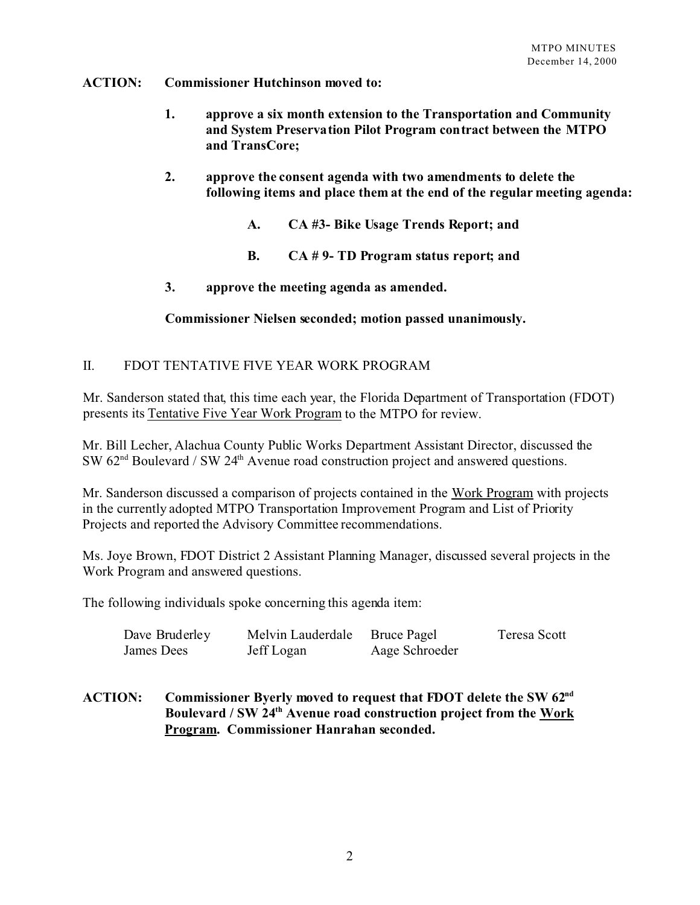#### **ACTION: Commissioner Hutchinson moved to:**

- **1. approve a six month extension to the Transportation and Community and System Preservation Pilot Program contract between the MTPO and TransCore;**
- **2. approve the consent agenda with two amendments to delete the following items and place them at the end of the regular meeting agenda:**
	- **A. CA #3- Bike Usage Trends Report; and**
	- **B. CA # 9- TD Program status report; and**
- **3. approve the meeting agenda as amended.**

# **Commissioner Nielsen seconded; motion passed unanimously.**

# II. FDOT TENTATIVE FIVE YEAR WORK PROGRAM

Mr. Sanderson stated that, this time each year, the Florida Department of Transportation (FDOT) presents its Tentative Five Year Work Program to the MTPO for review.

Mr. Bill Lecher, Alachua County Public Works Department Assistant Director, discussed the  $\text{SW } 62^{\text{nd}}$  Boulevard / SW 24<sup>th</sup> Avenue road construction project and answered questions.

Mr. Sanderson discussed a comparison of projects contained in the Work Program with projects in the currently adopted MTPO Transportation Improvement Program and List of Priority Projects and reported the Advisory Committee recommendations.

Ms. Joye Brown, FDOT District 2 Assistant Planning Manager, discussed several projects in the Work Program and answered questions.

The following individuals spoke concerning this agenda item:

| Dave Bruderley | Melvin Lauderdale | <b>Bruce Pagel</b> | Teresa Scott |
|----------------|-------------------|--------------------|--------------|
| James Dees     | Jeff Logan        | Aage Schroeder     |              |

# **ACTION: Commissioner Byerly moved to request that FDOT delete the SW 62nd Boulevard / SW 24th Avenue road construction project from the Work Program. Commissioner Hanrahan seconded.**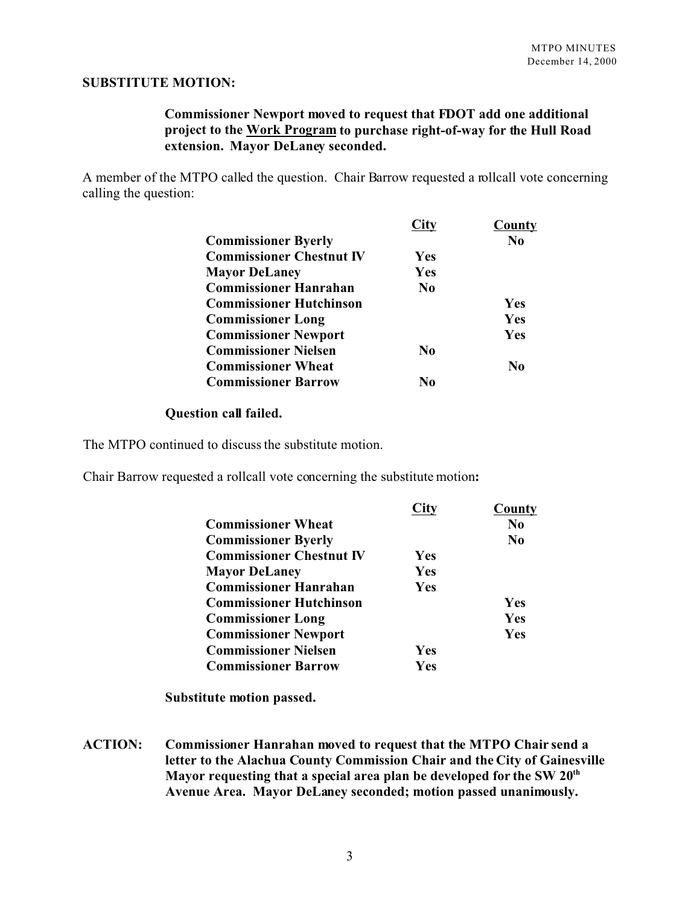#### **SUBSTITUTE MOTION:**

# **Commissioner Newport moved to request that FDOT add one additional project to the Work Program to purchase right-of-way for the Hull Road extension. Mayor DeLaney seconded.**

A member of the MTPO called the question. Chair Barrow requested a rollcall vote concerning calling the question:

|                                 |                | County         |
|---------------------------------|----------------|----------------|
| <b>Commissioner Byerly</b>      |                | N <sub>0</sub> |
| <b>Commissioner Chestnut IV</b> | <b>Yes</b>     |                |
| <b>Mayor DeLaney</b>            | Yes            |                |
| <b>Commissioner Hanrahan</b>    | N <sub>0</sub> |                |
| <b>Commissioner Hutchinson</b>  |                | Yes            |
| <b>Commissioner Long</b>        |                | Yes            |
| <b>Commissioner Newport</b>     |                | Yes            |
| <b>Commissioner Nielsen</b>     | No             |                |
| <b>Commissioner Wheat</b>       |                | No             |
| <b>Commissioner Barrow</b>      | Nο             |                |

#### **Question call failed.**

The MTPO continued to discuss the substitute motion.

Chair Barrow requested a rollcall vote concerning the substitute motion**:**

|                                 | <b>City</b> | County         |
|---------------------------------|-------------|----------------|
| <b>Commissioner Wheat</b>       |             | N <sub>0</sub> |
| <b>Commissioner Byerly</b>      |             | N <sub>0</sub> |
| <b>Commissioner Chestnut IV</b> | <b>Yes</b>  |                |
| <b>Mayor DeLaney</b>            | Yes         |                |
| <b>Commissioner Hanrahan</b>    | Yes         |                |
| <b>Commissioner Hutchinson</b>  |             | Yes            |
| <b>Commissioner Long</b>        |             | Yes            |
| <b>Commissioner Newport</b>     |             | Yes            |
| <b>Commissioner Nielsen</b>     | <b>Yes</b>  |                |
| <b>Commissioner Barrow</b>      | Yes         |                |

**Substitute motion passed.**

**ACTION: Commissioner Hanrahan moved to request that the MTPO Chair send a letter to the Alachua County Commission Chair and the City of Gainesville Mayor requesting that a special area plan be developed for the SW 20th Avenue Area. Mayor DeLaney seconded; motion passed unanimously.**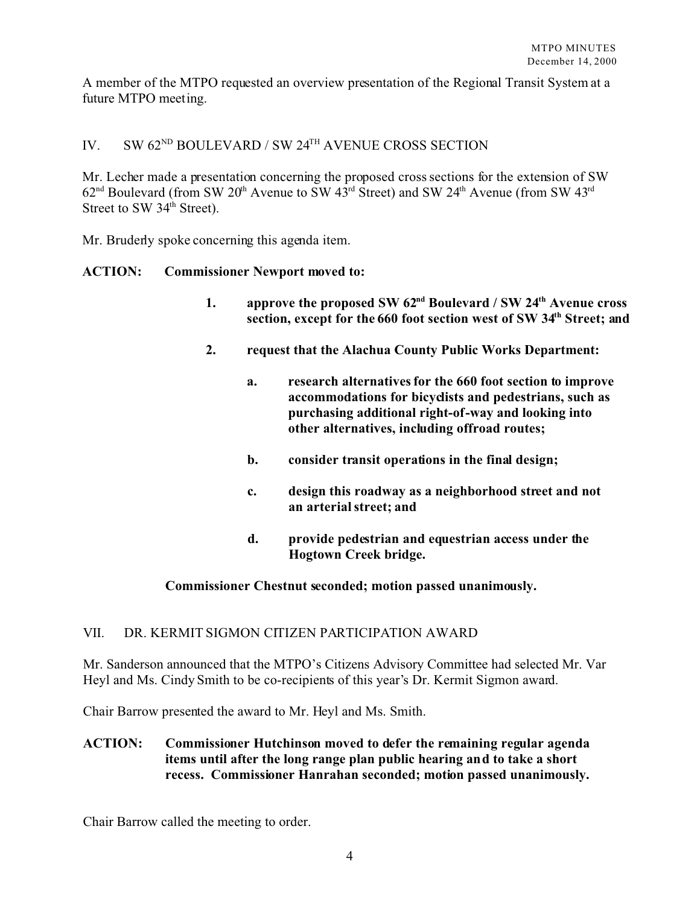A member of the MTPO requested an overview presentation of the Regional Transit System at a future MTPO meeting.

# IV. SW 62<sup>ND</sup> BOULEVARD / SW 24<sup>TH</sup> AVENUE CROSS SECTION

Mr. Lecher made a presentation concerning the proposed cross sections for the extension of SW  $62<sup>nd</sup>$  Boulevard (from SW  $20<sup>th</sup>$  Avenue to SW  $43<sup>rd</sup>$  Street) and SW  $24<sup>th</sup>$  Avenue (from SW  $43<sup>rd</sup>$ Street to SW 34<sup>th</sup> Street).

Mr. Bruderly spoke concerning this agenda item.

#### **ACTION: Commissioner Newport moved to:**

- **1. approve the proposed SW 62nd Boulevard / SW 24th Avenue cross section, except for the 660 foot section west of SW 34th Street; and**
- **2. request that the Alachua County Public Works Department:** 
	- **a. research alternatives for the 660 foot section to improve accommodations for bicyclists and pedestrians, such as purchasing additional right-of-way and looking into other alternatives, including offroad routes;**
	- **b. consider transit operations in the final design;**
	- **c. design this roadway as a neighborhood street and not an arterial street; and**
	- **d. provide pedestrian and equestrian access under the Hogtown Creek bridge.**

#### **Commissioner Chestnut seconded; motion passed unanimously.**

#### VII. DR. KERMIT SIGMON CITIZEN PARTICIPATION AWARD

Mr. Sanderson announced that the MTPO's Citizens Advisory Committee had selected Mr. Var Heyl and Ms. Cindy Smith to be co-recipients of this year's Dr. Kermit Sigmon award.

Chair Barrow presented the award to Mr. Heyl and Ms. Smith.

# **ACTION: Commissioner Hutchinson moved to defer the remaining regular agenda items until after the long range plan public hearing and to take a short recess. Commissioner Hanrahan seconded; motion passed unanimously.**

Chair Barrow called the meeting to order.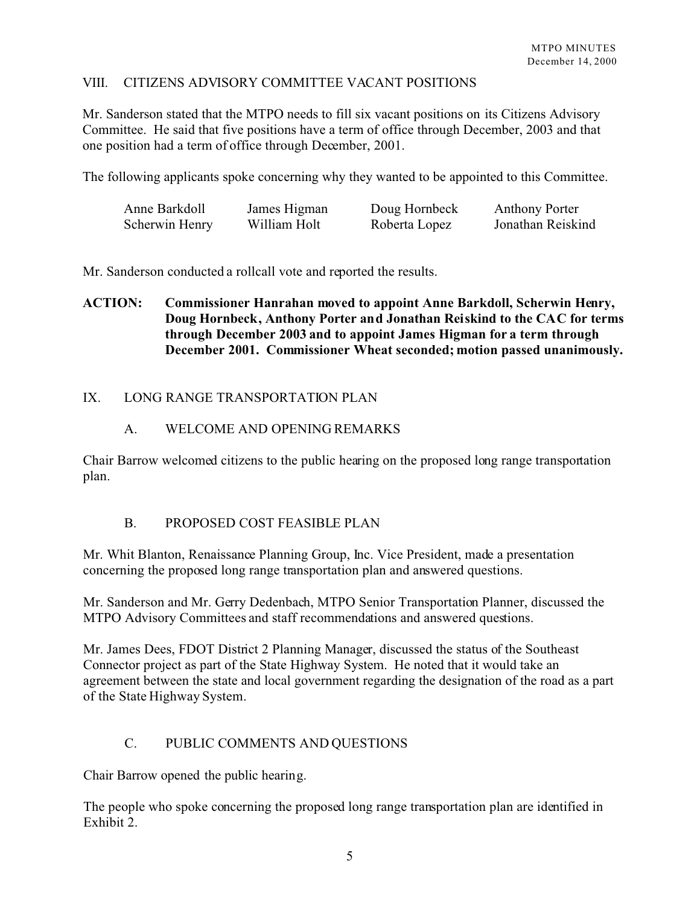# VIII. CITIZENS ADVISORY COMMITTEE VACANT POSITIONS

Mr. Sanderson stated that the MTPO needs to fill six vacant positions on its Citizens Advisory Committee. He said that five positions have a term of office through December, 2003 and that one position had a term of office through December, 2001.

The following applicants spoke concerning why they wanted to be appointed to this Committee.

| Anne Barkdoll  | James Higman | Doug Hornbeck | <b>Anthony Porter</b> |
|----------------|--------------|---------------|-----------------------|
| Scherwin Henry | William Holt | Roberta Lopez | Jonathan Reiskind     |

Mr. Sanderson conducted a rollcall vote and reported the results.

# **ACTION: Commissioner Hanrahan moved to appoint Anne Barkdoll, Scherwin Henry, Doug Hornbeck, Anthony Porter and Jonathan Reiskind to the CAC for terms through December 2003 and to appoint James Higman for a term through December 2001. Commissioner Wheat seconded; motion passed unanimously.**

# IX. LONG RANGE TRANSPORTATION PLAN

#### A. WELCOME AND OPENING REMARKS

Chair Barrow welcomed citizens to the public hearing on the proposed long range transportation plan.

#### B. PROPOSED COST FEASIBLE PLAN

Mr. Whit Blanton, Renaissance Planning Group, Inc. Vice President, made a presentation concerning the proposed long range transportation plan and answered questions.

Mr. Sanderson and Mr. Gerry Dedenbach, MTPO Senior Transportation Planner, discussed the MTPO Advisory Committees and staff recommendations and answered questions.

Mr. James Dees, FDOT District 2 Planning Manager, discussed the status of the Southeast Connector project as part of the State Highway System. He noted that it would take an agreement between the state and local government regarding the designation of the road as a part of the State Highway System.

# C. PUBLIC COMMENTS AND QUESTIONS

Chair Barrow opened the public hearing.

The people who spoke concerning the proposed long range transportation plan are identified in Exhibit 2.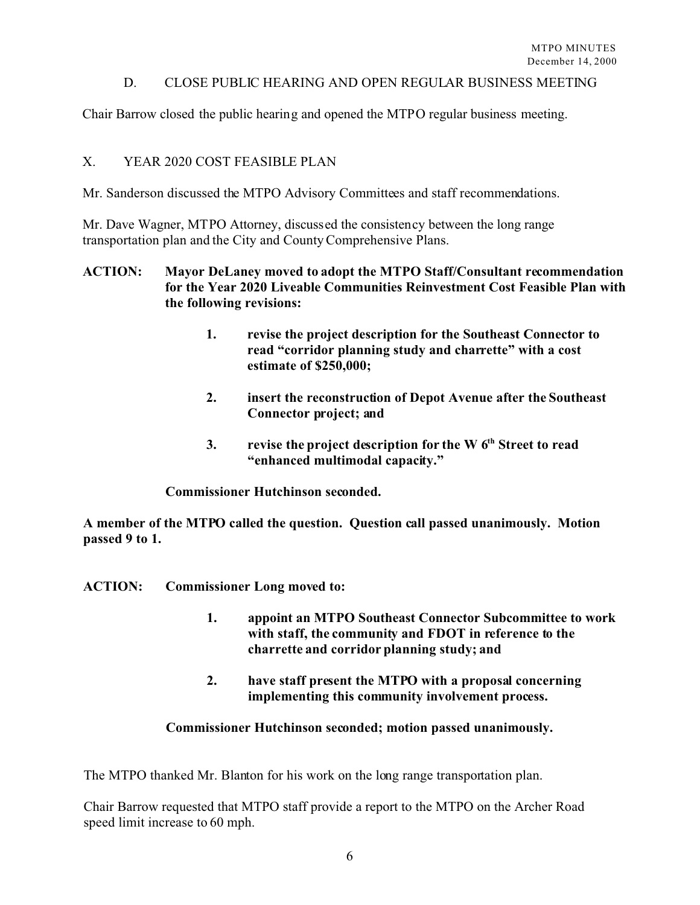### D. CLOSE PUBLIC HEARING AND OPEN REGULAR BUSINESS MEETING

Chair Barrow closed the public hearing and opened the MTPO regular business meeting.

#### X. YEAR 2020 COST FEASIBLE PLAN

Mr. Sanderson discussed the MTPO Advisory Committees and staff recommendations.

Mr. Dave Wagner, MTPO Attorney, discussed the consistency between the long range transportation plan and the City and County Comprehensive Plans.

# **ACTION: Mayor DeLaney moved to adopt the MTPO Staff/Consultant recommendation for the Year 2020 Liveable Communities Reinvestment Cost Feasible Plan with the following revisions:**

- **1. revise the project description for the Southeast Connector to read "corridor planning study and charrette" with a cost estimate of \$250,000;**
- **2. insert the reconstruction of Depot Avenue after the Southeast Connector project; and**
- **3. revise the project description for the W 6th Street to read "enhanced multimodal capacity."**

**Commissioner Hutchinson seconded.** 

**A member of the MTPO called the question. Question call passed unanimously. Motion passed 9 to 1.**

- **ACTION: Commissioner Long moved to:**
	- **1. appoint an MTPO Southeast Connector Subcommittee to work with staff, the community and FDOT in reference to the charrette and corridor planning study; and**
	- **2. have staff present the MTPO with a proposal concerning implementing this community involvement process.**

# **Commissioner Hutchinson seconded; motion passed unanimously.**

The MTPO thanked Mr. Blanton for his work on the long range transportation plan.

Chair Barrow requested that MTPO staff provide a report to the MTPO on the Archer Road speed limit increase to 60 mph.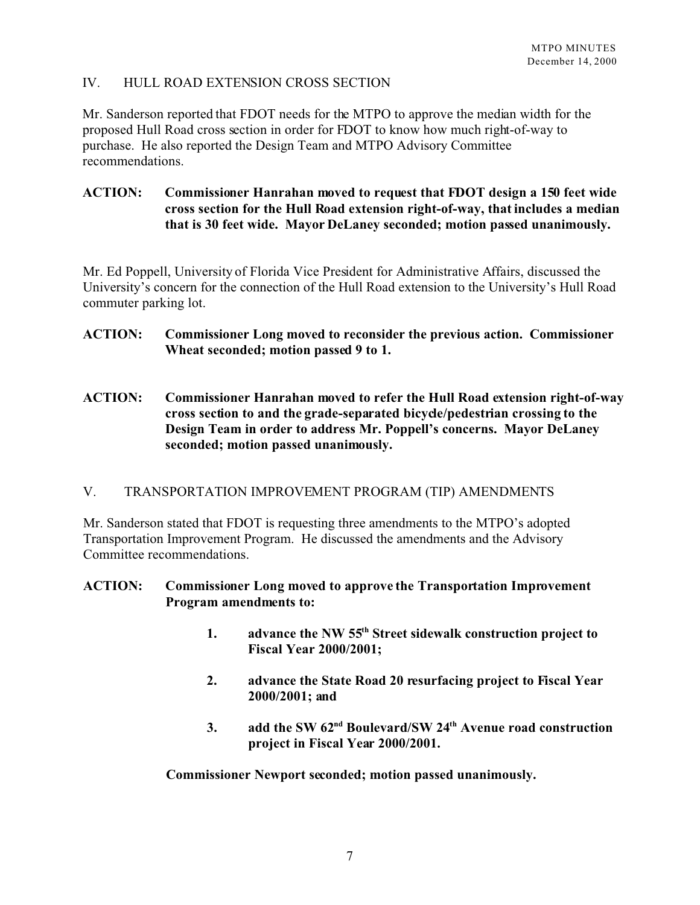# IV. HULL ROAD EXTENSION CROSS SECTION

Mr. Sanderson reported that FDOT needs for the MTPO to approve the median width for the proposed Hull Road cross section in order for FDOT to know how much right-of-way to purchase. He also reported the Design Team and MTPO Advisory Committee recommendations.

# **ACTION: Commissioner Hanrahan moved to request that FDOT design a 150 feet wide cross section for the Hull Road extension right-of-way, that includes a median that is 30 feet wide. Mayor DeLaney seconded; motion passed unanimously.**

Mr. Ed Poppell, University of Florida Vice President for Administrative Affairs, discussed the University's concern for the connection of the Hull Road extension to the University's Hull Road commuter parking lot.

- **ACTION: Commissioner Long moved to reconsider the previous action. Commissioner Wheat seconded; motion passed 9 to 1.**
- **ACTION: Commissioner Hanrahan moved to refer the Hull Road extension right-of-way cross section to and the grade-separated bicycle/pedestrian crossing to the Design Team in order to address Mr. Poppell's concerns. Mayor DeLaney seconded; motion passed unanimously.**

# V. TRANSPORTATION IMPROVEMENT PROGRAM (TIP) AMENDMENTS

Mr. Sanderson stated that FDOT is requesting three amendments to the MTPO's adopted Transportation Improvement Program. He discussed the amendments and the Advisory Committee recommendations.

# **ACTION: Commissioner Long moved to approve the Transportation Improvement Program amendments to:**

- **1. advance the NW 55th Street sidewalk construction project to Fiscal Year 2000/2001;**
- **2. advance the State Road 20 resurfacing project to Fiscal Year 2000/2001; and**
- **3. add the SW 62nd Boulevard/SW 24th Avenue road construction project in Fiscal Year 2000/2001.**

**Commissioner Newport seconded; motion passed unanimously.**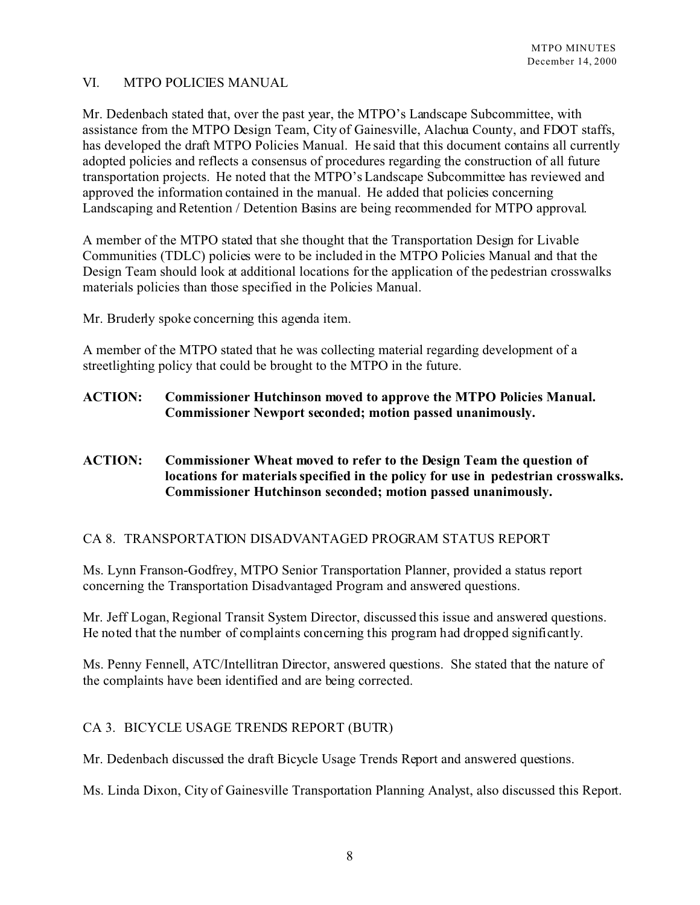# VI. MTPO POLICIES MANUAL

Mr. Dedenbach stated that, over the past year, the MTPO's Landscape Subcommittee, with assistance from the MTPO Design Team, City of Gainesville, Alachua County, and FDOT staffs, has developed the draft MTPO Policies Manual. He said that this document contains all currently adopted policies and reflects a consensus of procedures regarding the construction of all future transportation projects. He noted that the MTPO's Landscape Subcommittee has reviewed and approved the information contained in the manual. He added that policies concerning Landscaping and Retention / Detention Basins are being recommended for MTPO approval.

A member of the MTPO stated that she thought that the Transportation Design for Livable Communities (TDLC) policies were to be included in the MTPO Policies Manual and that the Design Team should look at additional locations for the application of the pedestrian crosswalks materials policies than those specified in the Policies Manual.

Mr. Bruderly spoke concerning this agenda item.

A member of the MTPO stated that he was collecting material regarding development of a streetlighting policy that could be brought to the MTPO in the future.

**ACTION: Commissioner Hutchinson moved to approve the MTPO Policies Manual. Commissioner Newport seconded; motion passed unanimously.**

# **ACTION: Commissioner Wheat moved to refer to the Design Team the question of locations for materials specified in the policy for use in pedestrian crosswalks. Commissioner Hutchinson seconded; motion passed unanimously.**

# CA 8. TRANSPORTATION DISADVANTAGED PROGRAM STATUS REPORT

Ms. Lynn Franson-Godfrey, MTPO Senior Transportation Planner, provided a status report concerning the Transportation Disadvantaged Program and answered questions.

Mr. Jeff Logan, Regional Transit System Director, discussed this issue and answered questions. He noted that the number of complaints concerning this program had dropped significantly.

Ms. Penny Fennell, ATC/Intellitran Director, answered questions. She stated that the nature of the complaints have been identified and are being corrected.

# CA 3. BICYCLE USAGE TRENDS REPORT (BUTR)

Mr. Dedenbach discussed the draft Bicycle Usage Trends Report and answered questions.

Ms. Linda Dixon, City of Gainesville Transportation Planning Analyst, also discussed this Report.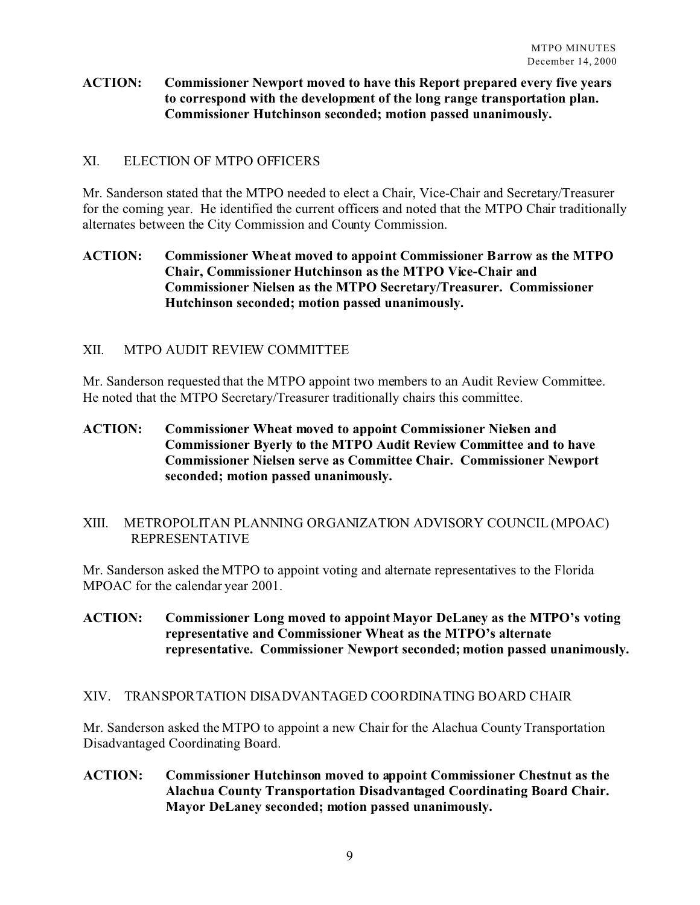## **ACTION: Commissioner Newport moved to have this Report prepared every five years to correspond with the development of the long range transportation plan. Commissioner Hutchinson seconded; motion passed unanimously.**

# XI. ELECTION OF MTPO OFFICERS

Mr. Sanderson stated that the MTPO needed to elect a Chair, Vice-Chair and Secretary/Treasurer for the coming year. He identified the current officers and noted that the MTPO Chair traditionally alternates between the City Commission and County Commission.

# **ACTION: Commissioner Wheat moved to appoint Commissioner Barrow as the MTPO Chair, Commissioner Hutchinson as the MTPO Vice-Chair and Commissioner Nielsen as the MTPO Secretary/Treasurer. Commissioner Hutchinson seconded; motion passed unanimously.**

# XII. MTPO AUDIT REVIEW COMMITTEE

Mr. Sanderson requested that the MTPO appoint two members to an Audit Review Committee. He noted that the MTPO Secretary/Treasurer traditionally chairs this committee.

**ACTION: Commissioner Wheat moved to appoint Commissioner Nielsen and Commissioner Byerly to the MTPO Audit Review Committee and to have Commissioner Nielsen serve as Committee Chair. Commissioner Newport seconded; motion passed unanimously.**

# XIII. METROPOLITAN PLANNING ORGANIZATION ADVISORY COUNCIL (MPOAC) REPRESENTATIVE

Mr. Sanderson asked the MTPO to appoint voting and alternate representatives to the Florida MPOAC for the calendar year 2001.

**ACTION: Commissioner Long moved to appoint Mayor DeLaney as the MTPO's voting representative and Commissioner Wheat as the MTPO's alternate representative. Commissioner Newport seconded; motion passed unanimously.**

# XIV. TRANSPORTATION DISADVANTAGED COORDINATING BOARD CHAIR

Mr. Sanderson asked the MTPO to appoint a new Chair for the Alachua County Transportation Disadvantaged Coordinating Board.

**ACTION: Commissioner Hutchinson moved to appoint Commissioner Chestnut as the Alachua County Transportation Disadvantaged Coordinating Board Chair. Mayor DeLaney seconded; motion passed unanimously.**